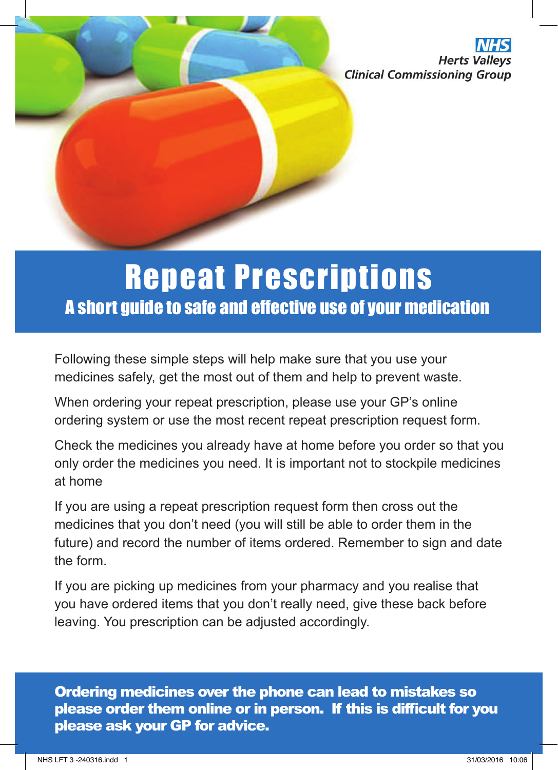**Herts Vall Clinical Commissioning Group** 

## A short guide to safe and effective use of your medication Repeat Prescriptions

Following these simple steps will help make sure that you use your medicines safely, get the most out of them and help to prevent waste.

When ordering your repeat prescription, please use your GP's online ordering system or use the most recent repeat prescription request form.

Check the medicines you already have at home before you order so that you only order the medicines you need. It is important not to stockpile medicines at home

If you are using a repeat prescription request form then cross out the medicines that you don't need (you will still be able to order them in the future) and record the number of items ordered. Remember to sign and date the form.

If you are picking up medicines from your pharmacy and you realise that you have ordered items that you don't really need, give these back before leaving. You prescription can be adjusted accordingly.

Ordering medicines over the phone can lead to mistakes so please order them online or in person. If this is difficult for you please ask your GP for advice.